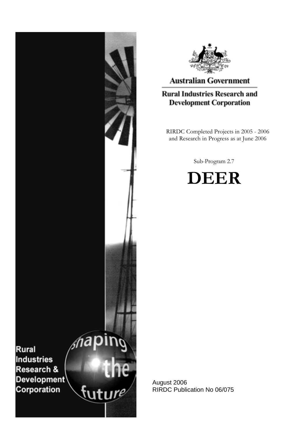



# **Australian Government**

# **Rural Industries Research and Development Corporation**

RIRDC Completed Projects in 2005 - 2006 and Research in Progress as at June 2006

Sub-Program 2.7



August 2006 RIRDC Publication No 06/075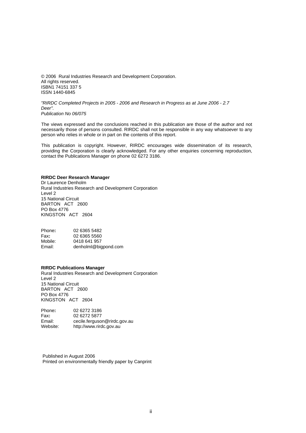© 2006 Rural Industries Research and Development Corporation. All rights reserved. ISBN1 74151 337 5 ISSN 1440-6845

*"RIRDC Completed Projects in 2005 - 2006 and Research in Progress as at June 2006 - 2.7 Deer". Publication No 06/075* 

The views expressed and the conclusions reached in this publication are those of the author and not necessarily those of persons consulted. RIRDC shall not be responsible in any way whatsoever to any person who relies in whole or in part on the contents of this report.

This publication is copyright. However, RIRDC encourages wide dissemination of its research, providing the Corporation is clearly acknowledged. For any other enquiries concerning reproduction, contact the Publications Manager on phone 02 6272 3186.

#### **RIRDC Deer Research Manager**

Dr Laurence Denholm Rural Industries Research and Development Corporation Level 2 15 National Circuit BARTON ACT 2600 PO Box 4776 KINGSTON ACT 2604

Phone**:** 02 6365 5482 Fax**:** 02 6365 5560 0418 641 957 Email: denholml@bigpond.com

#### **RIRDC Publications Manager**

Rural Industries Research and Development Corporation Level 2 15 National Circuit BARTON ACT 2600 PO Box 4776 KINGSTON ACT 2604

| Phone:   | 02 6272 3186                 |
|----------|------------------------------|
| Fax:     | 02 6272 5877                 |
| Email:   | cecile.ferguson@rirdc.gov.au |
| Website: | http://www.rirdc.gov.au      |

Published in August 2006 Printed on environmentally friendly paper by Canprint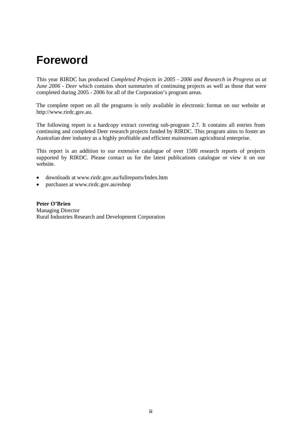# **Foreword**

This year RIRDC has produced *Completed Projects in 2005 - 2006 and Research in Progress as at June 2006 - Deer which contains short summaries of continuing projects as well as those that were* completed during 2005 - 2006 for all of the Corporation's program areas.

The complete report on all the programs is only available in electronic format on our website at http://www.rirdc.gov.au.

The following report is a hardcopy extract covering sub-program 2.7. It contains all entries from continuing and completed Deer research projects funded by RIRDC. This program aims to foster an Australian deer industry as a highly profitable and efficient mainstream agricultural enterprise.

This report is an addition to our extensive catalogue of over 1500 research reports of projects supported by RIRDC. Please contact us for the latest publications catalogue or view it on our website.

- downloads at [www.rirdc.gov.au/fullreports/Index.htm](http://www.rirdc.gov.au/reports/Index.htm)
- purchases at www.rirdc.gov.au/eshop

**Peter O'Brien**  Managing Director Rural Industries Research and Development Corporation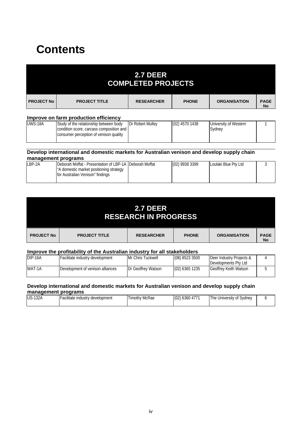# **Contents**

|                   |                                                                                                                              | <b>2.7 DEER</b><br><b>COMPLETED PROJECTS</b> |                |                                 |                          |
|-------------------|------------------------------------------------------------------------------------------------------------------------------|----------------------------------------------|----------------|---------------------------------|--------------------------|
| <b>PROJECT No</b> | <b>PROJECT TITLE</b>                                                                                                         | <b>RESEARCHER</b>                            | <b>PHONE</b>   | <b>ORGANISATION</b>             | <b>PAGE</b><br><b>No</b> |
|                   | Improve on farm production efficiency                                                                                        |                                              |                |                                 |                          |
| <b>UWS-18A</b>    | Study of the relationship between body<br>condition score, carcass composition and<br>consumer perception of venison quality | Dr Robert Mulley                             | (02) 4570 1438 | University of Western<br>Sydney |                          |

### **[Develop international](mailto:deborah@loulakiblue.com) and domestic markets for Australian venison and develop supply chain management programs**

| LBP-2A | IDeborah Moffat - Presentation of LBP-1A IDeborah Moffat | (02) 9938 3399 | Loulaki Blue Pty Ltd |  |
|--------|----------------------------------------------------------|----------------|----------------------|--|
|        | "A domestic market positioning strategy                  |                |                      |  |
|        | for Australian Venison" findings                         |                |                      |  |
|        |                                                          |                |                      |  |

|                   |                      | <b>2.7 DEER</b><br><b>RESEARCH IN PROGRESS</b> |              |                     |                          |
|-------------------|----------------------|------------------------------------------------|--------------|---------------------|--------------------------|
| <b>PROJECT No</b> | <b>PROJECT TITLE</b> | <b>RESEARCHER</b>                              | <b>PHONE</b> | <b>ORGANISATION</b> | <b>PAGE</b><br><b>No</b> |

## **Improve the profitability of the Australian industry for all stakeholders**

| $DIP-16A$ | Facilitate industry development  | Mr Chris Tuckwell  | $(08)$ 8523 3500 | Deer Industry Projects & |  |
|-----------|----------------------------------|--------------------|------------------|--------------------------|--|
|           |                                  |                    |                  | Developments Pty Ltd     |  |
| WAT-1A    | Development of venison alliances | Dr Geoffrey Watson | $(02)$ 6365 1235 | Geoffrey Keith Watson    |  |
|           |                                  |                    |                  |                          |  |

### **Develop international and domestic markets for Australian venison and develop supply chain management programs**

| <b>US-132A</b><br>II-acilitate industry development | <b>Timothy McRae</b> | (0)<br>1636047<br>IUZ) | The<br>Sydney<br>University of ' |  |
|-----------------------------------------------------|----------------------|------------------------|----------------------------------|--|
|                                                     |                      |                        |                                  |  |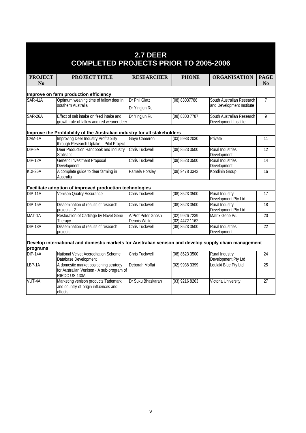| 2.7 DEER<br><b>COMPLETED PROJECTS PRIOR TO 2005-2006</b> |                                                                                                       |                                    |                                  |                                              |                 |
|----------------------------------------------------------|-------------------------------------------------------------------------------------------------------|------------------------------------|----------------------------------|----------------------------------------------|-----------------|
| <b>PROJECT</b>                                           | <b>PROJECT TITLE</b>                                                                                  | <b>RESEARCHER</b>                  | <b>PHONE</b>                     | <b>ORGANISATION</b>                          | <b>PAGE</b>     |
| $\bf No$                                                 |                                                                                                       |                                    |                                  |                                              | N <sub>0</sub>  |
|                                                          | Improve on farm production efficiency                                                                 |                                    |                                  |                                              |                 |
| SAR-41A                                                  | Optimum weaning time of fallow deer in                                                                | Dr Phil Glatz                      | (08) 83037786                    | South Australian Research                    | $\overline{7}$  |
|                                                          | southern Australia                                                                                    | Dr Yingjun Ru                      |                                  | and Development Institute                    |                 |
| SAR-26A                                                  | Effect of salt intake on feed intake and                                                              | Dr Yingjun Ru                      | (08) 8303 7787                   | South Australian Research                    | 9               |
|                                                          | growth rate of fallow and red weaner deer                                                             |                                    |                                  | Development Institite                        |                 |
|                                                          | Improve the Profitability of the Australian industry for all stakeholders                             |                                    |                                  |                                              |                 |
| CAM-1A                                                   | Improving Deer Industry Profitability<br>through Research Uptake - Pilot Project                      | Gaye Cameron                       | (03) 5983 2030                   | Private                                      | 11              |
| DIP-9A                                                   | Deer Production Handbook and Industry<br><b>Statistics</b>                                            | <b>Chris Tuckwell</b>              | (08) 8523 3500                   | <b>Rural Industries</b><br>Development       | 12              |
| <b>DIP-12A</b>                                           | <b>Generic Investment Proposal</b><br>Development                                                     | <b>Chris Tuckwell</b>              | (08) 8523 3500                   | <b>Rural Industries</b><br>Development       | 14              |
| KDI-26A                                                  | A complete guide to deer farming in<br>Australia                                                      | Pamela Horsley                     | (08) 9478 3343                   | Kondinin Group                               | 16              |
|                                                          | Facilitate adoption of improved production technologies                                               |                                    |                                  |                                              |                 |
| $DIP-11A$                                                | Venison Quality Assurance                                                                             | <b>Chris Tuckwell</b>              | (08) 8523 3500                   | <b>Rural Industry</b><br>Development Pty Ltd | $\overline{17}$ |
| <b>DIP-15A</b>                                           | Dissemination of results of research<br>projects - 2                                                  | <b>Chris Tuckwell</b>              | (08) 8523 3500                   | Rural Industry<br>Development Pty Ltd        | 18              |
| MAT-1A                                                   | Restoration of Cartilage by Novel Gene<br>Therapy                                                     | A/Prof Peter Ghosh<br>Dennis White | (02) 9926 7239<br>(02) 4472 1162 | Matrix Gene P/L                              | 20              |
| DIP-13A                                                  | Dissemination of results of research<br>projects                                                      | Chris Tuckwell                     | (08) 8523 3500                   | <b>Rural Industries</b><br>Development       | 22              |
| programs                                                 | Develop international and domestic markets for Australian venison and develop supply chain management |                                    |                                  |                                              |                 |
| DIP-14A                                                  | National Velvet Accreditation Scheme<br>Database Development                                          | <b>Chris Tuckwell</b>              | (08) 8523 3500                   | <b>Rural Industry</b><br>Development Pty Ltd | 24              |
| LBP-1A                                                   | A domestic market positioning strategy<br>for Australian Venison - A sub-program of<br>RIRDC US-130A  | Deborah Moffat                     | (02) 9938 3399                   | Loulaki Blue Pty Ltd                         | $\overline{25}$ |
| VUT-4A                                                   | Marketing venison products: Tademark<br>and country-of-origin influences and<br>effects               | Dr Suku Bhaskaran                  | $(03)$ 9216 8263                 | Victoria University                          | 27              |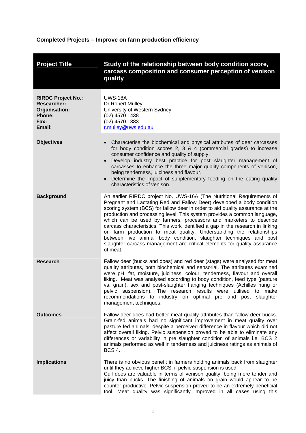# <span id="page-5-0"></span>**Completed Projects – Improve on farm production efficiency**

| <b>Project Title</b>                                                                                | Study of the relationship between body condition score,<br>carcass composition and consumer perception of venison<br>quality                                                                                                                                                                                                                                                                                                                                                                                                                                                                                                                                                                             |
|-----------------------------------------------------------------------------------------------------|----------------------------------------------------------------------------------------------------------------------------------------------------------------------------------------------------------------------------------------------------------------------------------------------------------------------------------------------------------------------------------------------------------------------------------------------------------------------------------------------------------------------------------------------------------------------------------------------------------------------------------------------------------------------------------------------------------|
| <b>RIRDC Project No.:</b><br><b>Researcher:</b><br>Organisation:<br><b>Phone:</b><br>Fax:<br>Email: | <b>UWS-18A</b><br>Dr Robert Mulley<br>University of Western Sydney<br>(02) 4570 1438<br>(02) 4570 1383<br>r.mulley@uws.edu.au                                                                                                                                                                                                                                                                                                                                                                                                                                                                                                                                                                            |
| <b>Objectives</b>                                                                                   | Characterise the biochemical and physical attributes of deer carcasses<br>$\bullet$<br>for body condition scores 2, 3 & 4 (commercial grades) to increase<br>consumer confidence and quality of supply.<br>Develop industry best practice for post slaughter management of<br>$\bullet$<br>carcasses to enhance the three major quality components of venison,<br>being tenderness, juiciness and flavour.<br>Determine the impact of supplementary feeding on the eating quality<br>$\bullet$<br>characteristics of venison.                                                                                                                                                                            |
| <b>Background</b>                                                                                   | An earlier RIRDC project No. UWS-16A (The Nutritional Requirements of<br>Pregnant and Lactating Red and Fallow Deer) developed a body condition<br>scoring system (BCS) for fallow deer in order to aid quality assurance at the<br>production and processing level. This system provides a common language,<br>which can be used by farmers, processors and marketers to describe<br>carcass characteristics. This work identified a gap in the research in linking<br>on farm production to meat quality. Understanding the relationships<br>between live animal body condition, slaughter techniques and post<br>slaughter carcass management are critical elements for quality assurance<br>of meat. |
| <b>Research</b>                                                                                     | Fallow deer (bucks and does) and red deer (stags) were analysed for meat<br>quality attributes, both biochemical and sensorial. The attributes examined<br>were pH, fat, moisture, juiciness, colour, tenderness, flavour and overall<br>liking. Meat was analysed according to body condition, feed type (pasture<br>vs. grain), sex and post-slaughter hanging techniques (Achilles hung or<br>pelvic suspension). The research results were utilised to make<br>recommendations to industry on optimal pre and post slaughter<br>management techniques.                                                                                                                                               |
| <b>Outcomes</b>                                                                                     | Fallow deer does had better meat quality attributes than fallow deer bucks.<br>Grain-fed animals had no significant improvement in meat quality over<br>pasture fed animals, despite a perceived difference in flavour which did not<br>affect overall liking. Pelvic suspension proved to be able to eliminate any<br>differences or variability in pre slaughter condition of animals i.e. BCS 2<br>animals performed as well in tenderness and juiciness ratings as animals of<br><b>BCS 4.</b>                                                                                                                                                                                                       |
| <b>Implications</b>                                                                                 | There is no obvious benefit in farmers holding animals back from slaughter<br>until they achieve higher BCS, if pelvic suspension is used.<br>Cull does are valuable in terms of venison quality, being more tender and<br>juicy than bucks. The finishing of animals on grain would appear to be<br>counter productive. Pelvic suspension proved to be an extremely beneficial<br>tool. Meat quality was significantly improved in all cases using this                                                                                                                                                                                                                                                 |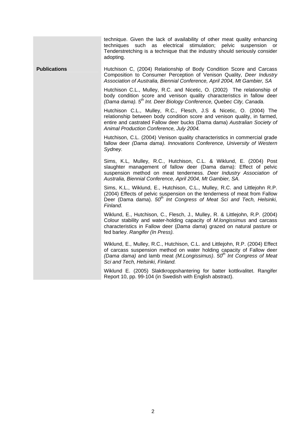technique. Given the lack of availability of other meat quality enhancing techniques such as electrical stimulation; pelvic suspension or Tenderstretching is a technique that the industry should seriously consider adopting.

**Publications •• THUTCHILGON C, (2004) Relationship of Body Condition Score and Carcass** Composition to Consumer Perception of Venison Quality, *Deer Industry Association of Australia, Biennial Conference, April 2004, Mt Gambier, SA*

> Hutchison C.L., Mulley, R.C. and Nicetic, O. (2002) The relationship of body condition score and venison quality characteristics in fallow deer *(Dama dama). 5th Int. Deer Biology Conference, Quebec City, Canada.*

> Hutchison C.L., Mulley, R.C., Flesch, J.S & Nicetic, O. (2004) The relationship between body condition score and venison quality, in farmed, entire and castrated Fallow deer bucks (Dama dama) *Australian Society of Animal Production Conference, July 2004.*

> Hutchison, C.L. (2004) Venison quality characteristics in commercial grade fallow deer *(Dama dama). Innovations Conference, University of Western Sydney.*

> Sims, K.L, Mulley, R.C., Hutchison, C.L. & Wiklund, E. (2004) Post slaughter management of fallow deer (Dama dama): Effect of pelvic suspension method on meat tenderness. *Deer Industry Association of Australia, Biennial Conference, April 2004, Mt Gambier, SA.*

> Sims, K.L., Wiklund, E., Hutchison, C.L., Mulley, R.C. and Littlejohn R.P. (2004) Effects of pelvic suspension on the tenderness of meat from Fallow Deer (Dama dama). *50th Int Congress of Meat Sci and Tech, Helsinki, Finland.*

> Wiklund, E., Hutchison, C., Flesch, J., Mulley, R. & Littlejohn, R.P. (2004) Colour stability and water-holding capacity of *M.longissimus* and carcass characteristics in Fallow deer (*Dama dama*) grazed on natural pasture or fed barley. *Rangifer (In Press).*

> Wiklund, E., Mulley, R.C., Hutchison, C.L. and Littlejohn, R.P. (2004) Effect of carcass suspension method on water holding capacity of Fallow deer *(Dama dama)* and lamb meat *(M.Longissimus)*. *50th Int Congress of Meat Sci and Tech, Helsinki, Finland.*

> Wiklund E. (2005) Slaktkroppshantering for batter kottkvalitet. Rangifer Report 10, pp. 99-104 (in Swedish with English abstract).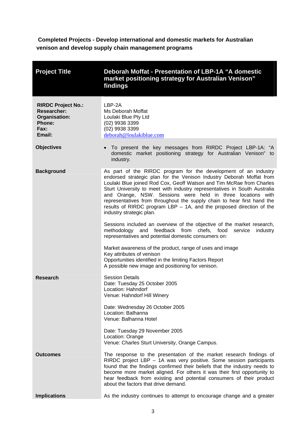<span id="page-7-0"></span> **Completed Projects - Develop international and domestic markets for Australian venison and develop supply chain management programs** 

| <b>Project Title</b>                                                                         | Deborah Moffat - Presentation of LBP-1A "A domestic<br>market positioning strategy for Australian Venison"<br>findings                                                                                                                                                                                                                                                                                                                                                                                                                       |
|----------------------------------------------------------------------------------------------|----------------------------------------------------------------------------------------------------------------------------------------------------------------------------------------------------------------------------------------------------------------------------------------------------------------------------------------------------------------------------------------------------------------------------------------------------------------------------------------------------------------------------------------------|
| <b>RIRDC Project No.:</b><br><b>Researcher:</b><br>Organisation:<br>Phone:<br>Fax:<br>Email: | LBP-2A<br>Ms Deborah Moffat<br>Loulaki Blue Pty Ltd<br>(02) 9938 3399<br>(02) 9938 3399<br>deborah@loulakiblue.com                                                                                                                                                                                                                                                                                                                                                                                                                           |
| <b>Objectives</b>                                                                            | • To present the key messages from RIRDC Project LBP-1A: "A<br>domestic market positioning strategy for Australian Venison" to<br>industry.                                                                                                                                                                                                                                                                                                                                                                                                  |
| <b>Background</b>                                                                            | As part of the RIRDC program for the development of an industry<br>endorsed strategic plan for the Venison Industry Deborah Moffat from<br>Loulaki Blue joined Rod Cox, Geoff Watson and Tim McRae from Charles<br>Sturt University to meet with industry representatives in South Australia<br>and Orange, NSW. Sessions were held in three locations with<br>representatives from throughout the supply chain to hear first hand the<br>results of RIRDC program LBP $-$ 1A, and the proposed direction of the<br>industry strategic plan. |
|                                                                                              | Sessions included an overview of the objective of the market research,<br>methodology and feedback from chefs, food<br>service<br>industry<br>representatives and potential domestic consumers on:                                                                                                                                                                                                                                                                                                                                           |
|                                                                                              | Market awareness of the product, range of uses and image<br>Key attributes of venison<br>Opportunities identified in the limiting Factors Report<br>A possible new image and positioning for venison.                                                                                                                                                                                                                                                                                                                                        |
| Research                                                                                     | <b>Session Details</b><br>Date: Tuesday 25 October 2005<br>Location: Hahndorf<br>Venue: Hahndorf Hill Winery                                                                                                                                                                                                                                                                                                                                                                                                                                 |
|                                                                                              | Date: Wednesday 26 October 2005<br>Location: Balhanna<br>Venue: Balhanna Hotel                                                                                                                                                                                                                                                                                                                                                                                                                                                               |
|                                                                                              | Date: Tuesday 29 November 2005<br>Location: Orange<br>Venue: Charles Sturt University, Orange Campus.                                                                                                                                                                                                                                                                                                                                                                                                                                        |
| <b>Outcomes</b>                                                                              | The response to the presentation of the market research findings of<br>RIRDC project LBP - 1A was very positive. Some session participants<br>found that the findings confirmed their beliefs that the industry needs to<br>become more market aligned. For others it was their first opportunity to<br>hear feedback from existing and potential consumers of their product<br>about the factors that drive demand.                                                                                                                         |
| <b>Implications</b>                                                                          | As the industry continues to attempt to encourage change and a greater                                                                                                                                                                                                                                                                                                                                                                                                                                                                       |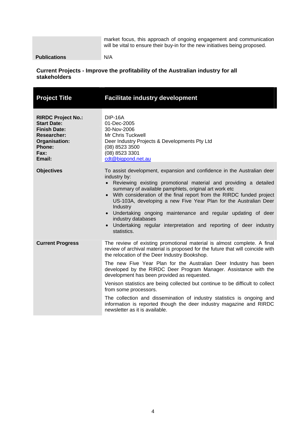market focus, this approach of ongoing engagement and communication will be vital to ensure their buy-in for the new initiatives being proposed.

<span id="page-8-0"></span>**Publications** N/A

## **Current Projects - Improve the profitability of the Australian industry for all stakeholders**

| <b>Project Title</b>                                                                                                                      | <b>Facilitate industry development</b>                                                                                                                                                                                                                                                                                                                                                                                                                                                                                                                                                                                                                                                          |
|-------------------------------------------------------------------------------------------------------------------------------------------|-------------------------------------------------------------------------------------------------------------------------------------------------------------------------------------------------------------------------------------------------------------------------------------------------------------------------------------------------------------------------------------------------------------------------------------------------------------------------------------------------------------------------------------------------------------------------------------------------------------------------------------------------------------------------------------------------|
| <b>RIRDC Project No.:</b><br><b>Start Date:</b><br><b>Finish Date:</b><br><b>Researcher:</b><br>Organisation:<br>Phone:<br>Fax:<br>Email: | <b>DIP-16A</b><br>01-Dec-2005<br>30-Nov-2006<br>Mr Chris Tuckwell<br>Deer Industry Projects & Developments Pty Ltd<br>(08) 8523 3500<br>(08) 8523 3301<br>cdt@bigpond.net.au                                                                                                                                                                                                                                                                                                                                                                                                                                                                                                                    |
| <b>Objectives</b>                                                                                                                         | To assist development, expansion and confidence in the Australian deer<br>industry by:<br>• Reviewing existing promotional material and providing a detailed<br>summary of available pamphlets, original art work etc<br>• With consideration of the final report from the RIRDC funded project<br>US-103A, developing a new Five Year Plan for the Australian Deer<br>Industry<br>Undertaking ongoing maintenance and regular updating of deer<br>industry databases<br>Undertaking regular interpretation and reporting of deer industry<br>statistics.                                                                                                                                       |
| <b>Current Progress</b>                                                                                                                   | The review of existing promotional material is almost complete. A final<br>review of archival material is proposed for the future that will coincide with<br>the relocation of the Deer Industry Bookshop.<br>The new Five Year Plan for the Australian Deer Industry has been<br>developed by the RIRDC Deer Program Manager. Assistance with the<br>development has been provided as requested.<br>Venison statistics are being collected but continue to be difficult to collect<br>from some processors.<br>The collection and dissemination of industry statistics is ongoing and<br>information is reported though the deer industry magazine and RIRDC<br>newsletter as it is available. |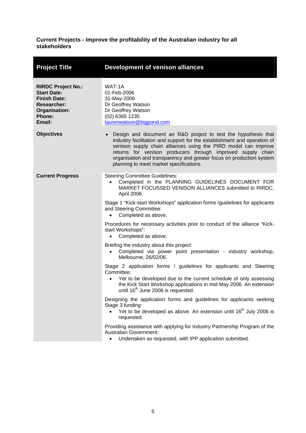## **Current Projects - Improve the profitability of the Australian industry for all stakeholders**

| <b>Project Title</b>                                                                                                              | <b>Development of venison alliances</b>                                                                                                                                                                                                                                                                                                                                                                      |
|-----------------------------------------------------------------------------------------------------------------------------------|--------------------------------------------------------------------------------------------------------------------------------------------------------------------------------------------------------------------------------------------------------------------------------------------------------------------------------------------------------------------------------------------------------------|
| <b>RIRDC Project No.:</b><br><b>Start Date:</b><br><b>Finish Date:</b><br><b>Researcher:</b><br>Organisation:<br>Phone:<br>Email: | WAT-1A<br>01-Feb-2006<br>31-May-2006<br>Dr Geoffrey Watson<br>Dr Geoffrey Watson<br>(02) 6365 1235<br>laurenwatson@bigpond.com                                                                                                                                                                                                                                                                               |
| <b>Objectives</b>                                                                                                                 | Design and document an R&D project to test the hypothesis that<br>$\bullet$<br>industry facilitation and support for the establishment and operation of<br>venison supply chain alliances using the PIRD model can improve<br>returns for venison producers through improved supply chain<br>organisation and transparency and greater focus on production system<br>planning to meet market specifications. |
| <b>Current Progress</b>                                                                                                           | <b>Steering Committee Guidelines:</b><br>Completed in the PLANNING GUIDELINES DOCUMENT FOR<br>$\bullet$<br>MARKET FOCUSSED VENISON ALLIANCES submitted to RIRDC.<br>April 2006.<br>Stage 1 "Kick-start Workshops" application forms /guidelines for applicants<br>and Steering Committee:                                                                                                                    |
|                                                                                                                                   | Completed as above.<br>$\bullet$<br>Procedures for necessary activities prior to conduct of the alliance "Kick-<br>start Workshops":<br>Completed as above.<br>$\bullet$                                                                                                                                                                                                                                     |
|                                                                                                                                   | Briefing the industry about this project:<br>Completed via power point presentation - industry workshop,<br>Melbourne, 26/02/06.                                                                                                                                                                                                                                                                             |
|                                                                                                                                   | Stage 2 application forms / guidelines for applicants and Steering<br>Committee:<br>Yet to be developed due to the current schedule of only assessing<br>$\bullet$<br>the Kick Start Workshop applications in mid May 2006. An extension<br>until 16 <sup>th</sup> June 2006 is requested.                                                                                                                   |
|                                                                                                                                   | Designing the application forms and guidelines for applicants seeking<br>Stage 3 funding:<br>Yet to be developed as above. An extension until 16 <sup>th</sup> July 2006 is<br>requested.                                                                                                                                                                                                                    |
|                                                                                                                                   | Providing assistance with applying for Industry Partnership Program of the<br><b>Australian Government:</b><br>Undertaken as requested, with IPP application submitted.                                                                                                                                                                                                                                      |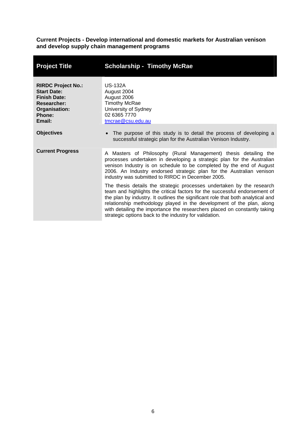<span id="page-10-0"></span>**Current Projects - Develop international and domestic markets for Australian venison and develop supply chain management programs**

| <b>Project Title</b>                                                                                                       | <b>Scholarship - Timothy McRae</b>                                                                                                                                                                                                                                                                                                                                                                                                                     |
|----------------------------------------------------------------------------------------------------------------------------|--------------------------------------------------------------------------------------------------------------------------------------------------------------------------------------------------------------------------------------------------------------------------------------------------------------------------------------------------------------------------------------------------------------------------------------------------------|
| <b>RIRDC Project No.:</b><br><b>Start Date:</b><br><b>Finish Date:</b><br>Researcher:<br>Organisation:<br>Phone:<br>Email: | <b>US-132A</b><br>August 2004<br>August 2006<br><b>Timothy McRae</b><br>University of Sydney<br>02 6365 7770<br>tmcrae@csu.edu.au                                                                                                                                                                                                                                                                                                                      |
| <b>Objectives</b>                                                                                                          | The purpose of this study is to detail the process of developing a<br>successful strategic plan for the Australian Venison Industry.                                                                                                                                                                                                                                                                                                                   |
| <b>Current Progress</b>                                                                                                    | A Masters of Philosophy (Rural Management) thesis detailing the<br>processes undertaken in developing a strategic plan for the Australian<br>venison Industry is on schedule to be completed by the end of August<br>2006. An Industry endorsed strategic plan for the Australian venison<br>industry was submitted to RIRDC in December 2005.                                                                                                         |
|                                                                                                                            | The thesis details the strategic processes undertaken by the research<br>team and highlights the critical factors for the successful endorsement of<br>the plan by industry. It outlines the significant role that both analytical and<br>relationship methodology played in the development of the plan, along<br>with detailing the importance the researchers placed on constantly taking<br>strategic options back to the industry for validation. |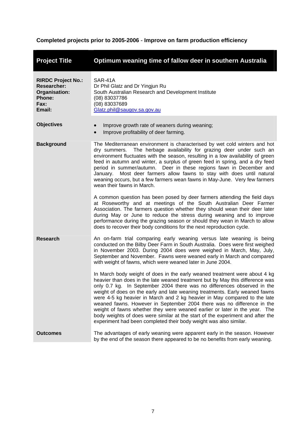# <span id="page-11-0"></span>**Completed projects prior to 2005-2006** - **Improve on farm production efficiency**

| <b>Project Title</b>                                                                                | Optimum weaning time of fallow deer in southern Australia                                                                                                                                                                                                                                                                                                                                                                                                                                                                                                                                                                                                                                                         |
|-----------------------------------------------------------------------------------------------------|-------------------------------------------------------------------------------------------------------------------------------------------------------------------------------------------------------------------------------------------------------------------------------------------------------------------------------------------------------------------------------------------------------------------------------------------------------------------------------------------------------------------------------------------------------------------------------------------------------------------------------------------------------------------------------------------------------------------|
| <b>RIRDC Project No.:</b><br><b>Researcher:</b><br>Organisation:<br><b>Phone:</b><br>Fax:<br>Email: | SAR-41A<br>Dr Phil Glatz and Dr Yingjun Ru<br>South Australian Research and Development Institute<br>(08) 83037786<br>(08) 83037689<br>Glatz.phil@saugov.sa.gov.au                                                                                                                                                                                                                                                                                                                                                                                                                                                                                                                                                |
| <b>Objectives</b>                                                                                   | Improve growth rate of weaners during weaning;<br>Improve profitability of deer farming.                                                                                                                                                                                                                                                                                                                                                                                                                                                                                                                                                                                                                          |
| <b>Background</b>                                                                                   | The Mediterranean environment is characterised by wet cold winters and hot<br>The herbage availability for grazing deer under such an<br>dry summers.<br>environment fluctuates with the season, resulting in a low availability of green<br>feed in autumn and winter, a surplus of green feed in spring, and a dry feed<br>period in summer/autumn. Deer in these regions fawn in December and<br>Most deer farmers allow fawns to stay with does until natural<br>January.<br>weaning occurs, but a few farmers wean fawns in May-June. Very few farmers<br>wean their fawns in March.                                                                                                                         |
|                                                                                                     | A common question has been posed by deer farmers attending the field days<br>at Roseworthy and at meetings of the South Australian Deer Farmer<br>Association. The farmers question whether they should wean their deer later<br>during May or June to reduce the stress during weaning and to improve<br>performance during the grazing season or should they wean in March to allow<br>does to recover their body conditions for the next reproduction cycle.                                                                                                                                                                                                                                                   |
| <b>Research</b>                                                                                     | An on-farm trial comparing early weaning versus late weaning is being<br>conducted on the Bilby Deer Farm in South Australia. Does were first weighed<br>in November 2003. During 2004 does were weighed in March, May, July,<br>September and November. Fawns were weaned early in March and compared<br>with weight of fawns, which were weaned later in June 2004.                                                                                                                                                                                                                                                                                                                                             |
|                                                                                                     | In March body weight of does in the early weaned treatment were about 4 kg<br>heavier than does in the late weaned treatment but by May this difference was<br>only 0.7 kg. In September 2004 there was no differences observed in the<br>weight of does on the early and late weaning treatments. Early weaned fawns<br>were 4-5 kg heavier in March and 2 kg heavier in May compared to the late<br>weaned fawns. However in September 2004 there was no difference in the<br>weight of fawns whether they were weaned earlier or later in the year. The<br>body weights of does were similar at the start of the experiment and after the<br>experiment had been completed their body weight was also similar. |
| <b>Outcomes</b>                                                                                     | The advantages of early weaning were apparent early in the season. However<br>by the end of the season there appeared to be no benefits from early weaning.                                                                                                                                                                                                                                                                                                                                                                                                                                                                                                                                                       |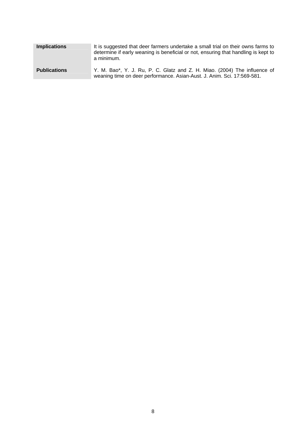| <b>Implications</b> | It is suggested that deer farmers undertake a small trial on their owns farms to<br>determine if early weaning is beneficial or not, ensuring that handling is kept to<br>a minimum. |
|---------------------|--------------------------------------------------------------------------------------------------------------------------------------------------------------------------------------|
| <b>Publications</b> | Y. M. Bao*, Y. J. Ru, P. C. Glatz and Z. H. Miao. (2004) The influence of<br>weaning time on deer performance. Asian-Aust. J. Anim. Sci. 17:569-581.                                 |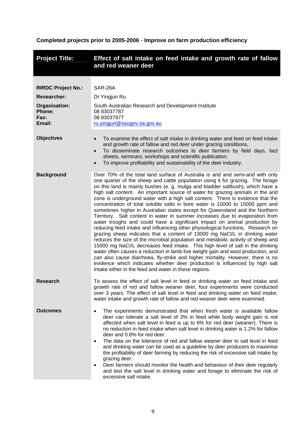# <span id="page-13-0"></span>**Completed projects prior to 2005-2006** - **Improve on farm production efficiency**

| <b>Project Title:</b>                                                                                      | Effect of salt intake on feed intake and growth rate of fallow<br>and red weaner deer                                                                                                                                                                                                                                                                                                                                                                                                                                                                                                                                                                                                                                                                                                                                                                                                                                                                                                                                                                                                                                                                                                                                                                                                                                                                                                                         |
|------------------------------------------------------------------------------------------------------------|---------------------------------------------------------------------------------------------------------------------------------------------------------------------------------------------------------------------------------------------------------------------------------------------------------------------------------------------------------------------------------------------------------------------------------------------------------------------------------------------------------------------------------------------------------------------------------------------------------------------------------------------------------------------------------------------------------------------------------------------------------------------------------------------------------------------------------------------------------------------------------------------------------------------------------------------------------------------------------------------------------------------------------------------------------------------------------------------------------------------------------------------------------------------------------------------------------------------------------------------------------------------------------------------------------------------------------------------------------------------------------------------------------------|
| <b>RIRDC Project No.:</b><br><b>Researcher:</b><br><b>Organisation:</b><br><b>Phone:</b><br>Fax:<br>Email: | SAR-26A<br>Dr Yingjun Ru<br>South Australian Research and Development Institute<br>08 83037787<br>08 83037977<br>ru.yingjun@saugov.sa.gov.au                                                                                                                                                                                                                                                                                                                                                                                                                                                                                                                                                                                                                                                                                                                                                                                                                                                                                                                                                                                                                                                                                                                                                                                                                                                                  |
| <b>Objectives</b>                                                                                          | To examine the effect of salt intake in drinking water and feed on feed intake<br>$\bullet$<br>and growth rate of fallow and red deer under grazing conditions,<br>To disseminate research outcomes to deer farmers by field days, fact<br>$\bullet$<br>sheets, seminars, workshops and scientific publication,<br>To improve profitability and sustainability of the deer industry.                                                                                                                                                                                                                                                                                                                                                                                                                                                                                                                                                                                                                                                                                                                                                                                                                                                                                                                                                                                                                          |
| <b>Background</b>                                                                                          | Over 70% of the total land surface of Australia is arid and semi-arid with only<br>one quarter of the sheep and cattle population using it for grazing. The forage<br>on this land is mainly bushes (e. g. mulga and bladder saltbush), which have a<br>high salt content. An important source of water for grazing animals in the arid<br>zone is underground water with a high salt content. There is evidence that the<br>concentration of total soluble salts in bore water is 10000 to 15000 ppm and<br>sometimes higher in Australian states except for Queensland and the Northern<br>Territory. Salt content in water in summer increases due to evaporation from<br>water troughs and could have a significant impact on animal production by<br>reducing feed intake and influencing other physiological functions. Research on<br>grazing sheep indicates that a content of 13000 mg NaCl/L in drinking water<br>reduces the size of the microbial population and metabolic activity of sheep and<br>15000 mg NaCl/L decreases feed intake. This high level of salt in the drinking<br>water often causes a reduction in lamb live weight gain and wool production, and<br>can also cause diarrhoea, fly-strike and higher mortality. However, there is no<br>evidence which indicates whether deer production is influenced by high salt<br>intake either in the feed and water in these regions. |
| <b>Research</b>                                                                                            | To assess the effect of salt level in feed or drinking water on feed intake and<br>growth rate of red and fallow weaner deer, four experiments were conducted<br>over 3 years. The effect of salt level in feed and drinking water on feed intake,<br>water intake and growth rate of fallow and red weaner deer were examined.                                                                                                                                                                                                                                                                                                                                                                                                                                                                                                                                                                                                                                                                                                                                                                                                                                                                                                                                                                                                                                                                               |
| Outcomes                                                                                                   | The experiments demonstrated that when fresh water is available fallow<br>$\bullet$<br>deer can tolerate a salt level of 3% in feed while body weight gain is not<br>affected when salt level in feed is up to 6% for red deer (weaner). There is<br>no reduction in feed intake when salt level in drinking water is 1.2% for fallow<br>deer and 0.8% for red deer.<br>The data on the tolerance of red and fallow weaner deer to salt level in feed<br>$\bullet$<br>and drinking water can be used as a guideline by deer producers to maximise<br>the profitability of deer farming by reducing the risk of excessive salt intake by<br>grazing deer.<br>Deer farmers should monitor the health and behaviour of their deer regularly<br>and test the salt level in drinking water and forage to eliminate the risk of<br>excessive salt intake.                                                                                                                                                                                                                                                                                                                                                                                                                                                                                                                                                           |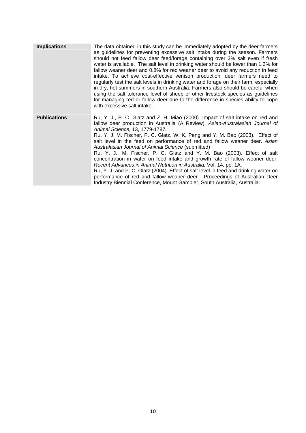| <b>Implications</b> | The data obtained in this study can be immediately adopted by the deer farmers<br>as guidelines for preventing excessive salt intake during the season. Farmers<br>should not feed fallow deer feed/forage containing over 3% salt even if fresh<br>water is available. The salt level in drinking water should be lower than 1.2% for<br>fallow weaner deer and 0.8% for red weaner deer to avoid any reduction in feed<br>intake. To achieve cost-effective venison production, deer farmers need to<br>regularly test the salt levels in drinking water and forage on their farm, especially<br>in dry, hot summers in southern Australia. Farmers also should be careful when<br>using the salt tolerance level of sheep or other livestock species as guidelines<br>for managing red or fallow deer due to the difference in species ability to cope<br>with excessive salt intake.                 |
|---------------------|----------------------------------------------------------------------------------------------------------------------------------------------------------------------------------------------------------------------------------------------------------------------------------------------------------------------------------------------------------------------------------------------------------------------------------------------------------------------------------------------------------------------------------------------------------------------------------------------------------------------------------------------------------------------------------------------------------------------------------------------------------------------------------------------------------------------------------------------------------------------------------------------------------|
| <b>Publications</b> | Ru, Y. J., P. C. Glatz and Z. H. Miao (2000). Impact of salt intake on red and<br>fallow deer production in Australia (A Review). Asian-Australasian Journal of<br>Animal Science, 13, 1779-1787.<br>Ru, Y. J. M. Fischer, P. C. Glatz, W. K. Peng and Y. M. Bao (2003). Effect of<br>salt level in the feed on performance of red and fallow weaner deer. Asian<br>Australasian Journal of Animal Science (submitted)<br>Ru, Y. J., M. Fischer, P. C. Glatz and Y. M. Bao (2003). Effect of salt<br>concentration in water on feed intake and growth rate of fallow weaner deer.<br>Recent Advances in Animal Nutrition in Australia. Vol. 14, pp. 1A.<br>Ru, Y. J. and P. C. Glatz (2004). Effect of salt level in feed and drinking water on<br>performance of red and fallow weaner deer. Proceedings of Australian Deer<br>Industry Biennial Conference, Mount Gambier, South Australia, Australia. |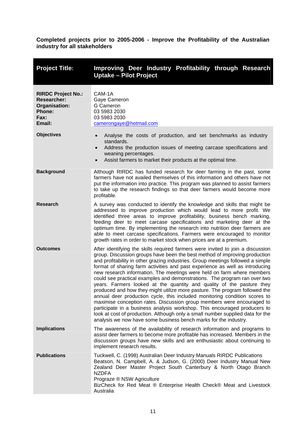<span id="page-15-0"></span>

| <b>Project Title:</b>                                                                        | Improving Deer Industry Profitability through Research<br><b>Uptake - Pilot Project</b>                                                                                                                                                                                                                                                                                                                                                                                                                                                                                                                                                                                                                                                                                                                                                                                                                                                                                                                                                   |
|----------------------------------------------------------------------------------------------|-------------------------------------------------------------------------------------------------------------------------------------------------------------------------------------------------------------------------------------------------------------------------------------------------------------------------------------------------------------------------------------------------------------------------------------------------------------------------------------------------------------------------------------------------------------------------------------------------------------------------------------------------------------------------------------------------------------------------------------------------------------------------------------------------------------------------------------------------------------------------------------------------------------------------------------------------------------------------------------------------------------------------------------------|
| <b>RIRDC Project No.:</b><br><b>Researcher:</b><br>Organisation:<br>Phone:<br>Fax:<br>Email: | CAM-1A<br>Gaye Cameron<br>G Cameron<br>03 5983 2030<br>03 5983 2030<br>camerongaye@hotmail.com                                                                                                                                                                                                                                                                                                                                                                                                                                                                                                                                                                                                                                                                                                                                                                                                                                                                                                                                            |
| <b>Objectives</b>                                                                            | Analyse the costs of production, and set benchmarks as industry<br>$\bullet$<br>standards.<br>Address the production issues of meeting carcase specifications and<br>$\bullet$<br>weaning percentages.<br>Assist farmers to market their products at the optimal time.<br>$\bullet$                                                                                                                                                                                                                                                                                                                                                                                                                                                                                                                                                                                                                                                                                                                                                       |
| <b>Background</b>                                                                            | Although RIRDC has funded research for deer farming in the past, some<br>farmers have not availed themselves of this information and others have not<br>put the information into practice. This program was planned to assist farmers<br>to take up the research findings so that deer farmers would become more<br>profitable.                                                                                                                                                                                                                                                                                                                                                                                                                                                                                                                                                                                                                                                                                                           |
| <b>Research</b>                                                                              | A survey was conducted to identify the knowledge and skills that might be<br>addressed to improve production which would lead to more profit. We<br>identified three areas to improve profitability, business bench marking,<br>feeding deer to meet carcase specifications and marketing deer at the<br>optimum time. By implementing the research into nutrition deer farmers are<br>able to meet carcase specifications. Farmers were encouraged to monitor<br>growth rates in order to market stock when prices are at a premium.                                                                                                                                                                                                                                                                                                                                                                                                                                                                                                     |
| <b>Outcomes</b>                                                                              | After identifying the skills required farmers were invited to join a discussion<br>group. Discussion groups have been the best method of improving production<br>and profitability in other grazing industries. Group meetings followed a simple<br>format of sharing farm activities and past experience as well as introducing<br>new research information. The meetings were held on farm where members<br>could see practical examples and demonstrations. The program ran over two<br>years. Farmers looked at the quantity and quality of the pasture they<br>produced and how they might utilize more pasture. The program followed the<br>annual deer production cycle, this included monitoring condition scores to<br>maximise conception rates. Discussion group members were encouraged to<br>participate in a business analysis workshop. This encouraged producers to<br>look at cost of production. Although only a small number supplied data for the<br>analysis we now have some business bench marks for the industry. |
| <b>Implications</b>                                                                          | The awareness of the availability of research information and programs to<br>assist deer farmers to become more profitable has increased. Members in the<br>discussion groups have new skills and are enthusiastic about continuing to<br>implement research results.                                                                                                                                                                                                                                                                                                                                                                                                                                                                                                                                                                                                                                                                                                                                                                     |
| <b>Publications</b>                                                                          | Tuckwell, C. (1998) Australian Deer Industry Manuals RIRDC Publications<br>Beatson, N. Campbell, A. & Judson, G. (2000) Deer Industry Manual New<br>Zealand Deer Master Project South Canterbury & North Otago Branch<br><b>NZDFA</b><br>Prograze ® NSW Agriculture<br>BizCheck for Red Meat ® Enterprise Health Check® Meat and Livestock<br>Australia                                                                                                                                                                                                                                                                                                                                                                                                                                                                                                                                                                                                                                                                                   |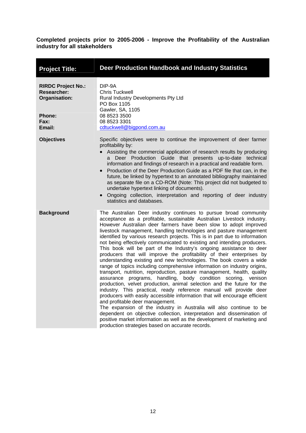<span id="page-16-0"></span>

| <b>Project Title:</b>                                            | Deer Production Handbook and Industry Statistics                                                                                                                                                                                                                                                                                                                                                                                                                                                                                                                                                                                                                                                                                                                                                                                                                                                                                                                                                                                                                                                                                                                                                                                                                                                                                                                                                                                               |
|------------------------------------------------------------------|------------------------------------------------------------------------------------------------------------------------------------------------------------------------------------------------------------------------------------------------------------------------------------------------------------------------------------------------------------------------------------------------------------------------------------------------------------------------------------------------------------------------------------------------------------------------------------------------------------------------------------------------------------------------------------------------------------------------------------------------------------------------------------------------------------------------------------------------------------------------------------------------------------------------------------------------------------------------------------------------------------------------------------------------------------------------------------------------------------------------------------------------------------------------------------------------------------------------------------------------------------------------------------------------------------------------------------------------------------------------------------------------------------------------------------------------|
| <b>RIRDC Project No.:</b><br><b>Researcher:</b><br>Organisation: | DIP-9A<br><b>Chris Tuckwell</b><br>Rural Industry Developments Pty Ltd<br>PO Box 1105<br>Gawler, SA, 1105                                                                                                                                                                                                                                                                                                                                                                                                                                                                                                                                                                                                                                                                                                                                                                                                                                                                                                                                                                                                                                                                                                                                                                                                                                                                                                                                      |
| <b>Phone:</b><br>Fax:<br>Email:                                  | 08 8523 3500<br>08 8523 3301<br>cdtuckwell@bigpond.com.au                                                                                                                                                                                                                                                                                                                                                                                                                                                                                                                                                                                                                                                                                                                                                                                                                                                                                                                                                                                                                                                                                                                                                                                                                                                                                                                                                                                      |
| <b>Objectives</b>                                                | Specific objectives were to continue the improvement of deer farmer<br>profitability by:<br>Assisting the commercial application of research results by producing<br>Deer Production Guide that presents up-to-date technical<br>a<br>information and findings of research in a practical and readable form.<br>Production of the Deer Production Guide as a PDF file that can, in the<br>$\bullet$<br>future, be linked by hypertext to an annotated bibliography maintained<br>as separate file on a CD-ROM (Note: This project did not budgeted to<br>undertake hypertext linking of documents).<br>Ongoing collection, interpretation and reporting of deer industry<br>$\bullet$<br>statistics and databases.                                                                                                                                                                                                                                                                                                                                                                                                                                                                                                                                                                                                                                                                                                                             |
| <b>Background</b>                                                | The Australian Deer industry continues to pursue broad community<br>acceptance as a profitable, sustainable Australian Livestock industry.<br>However Australian deer farmers have been slow to adopt improved<br>livestock management, handling technologies and pasture management<br>identified by various research projects. This is in part due to information<br>not being effectively communicated to existing and intending producers.<br>This book will be part of the Industry's ongoing assistance to deer<br>producers that will improve the profitability of their enterprises by<br>understanding existing and new technologies. The book covers a wide<br>range of topics including comprehensive information on industry origins,<br>transport, nutrition, reproduction, pasture management, health, quality<br>assurance programs, handling, body condition scoring, venison<br>production, velvet production, animal selection and the future for the<br>industry. This practical, ready reference manual will provide deer<br>producers with easily accessible information that will encourage efficient<br>and profitable deer management.<br>The expansion of the industry in Australia will also continue to be<br>dependent on objective collection, interpretation and dissemination of<br>positive market information as well as the development of marketing and<br>production strategies based on accurate records. |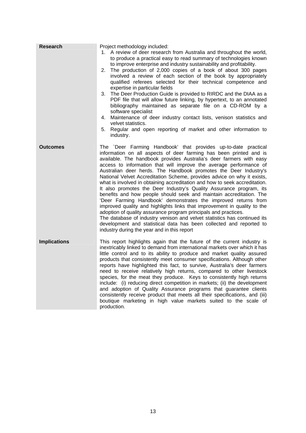| Research            | Project methodology included:<br>1. A review of deer research from Australia and throughout the world,<br>to produce a practical easy to read summary of technologies known<br>to improve enterprise and industry sustainability and profitability.<br>The production of 2,000 copies of a book of about 300 pages<br>2.<br>involved a review of each section of the book by appropriately<br>qualified referees selected for their technical competence and<br>expertise in particular fields<br>The Deer Production Guide is provided to RIRDC and the DIAA as a<br>3.<br>PDF file that will allow future linking, by hypertext, to an annotated<br>bibliography maintained as separate file on a CD-ROM by a<br>software specialist<br>Maintenance of deer industry contact lists, venison statistics and<br>4.<br>velvet statistics.<br>Regular and open reporting of market and other information to<br>5.<br>industry.                                                                                                                                                    |
|---------------------|---------------------------------------------------------------------------------------------------------------------------------------------------------------------------------------------------------------------------------------------------------------------------------------------------------------------------------------------------------------------------------------------------------------------------------------------------------------------------------------------------------------------------------------------------------------------------------------------------------------------------------------------------------------------------------------------------------------------------------------------------------------------------------------------------------------------------------------------------------------------------------------------------------------------------------------------------------------------------------------------------------------------------------------------------------------------------------|
| Outcomes            | The `Deer Farming Handbook' that provides up-to-date practical<br>information on all aspects of deer farming has been printed and is<br>available. The handbook provides Australia's deer farmers with easy<br>access to information that will improve the average performance of<br>Australian deer herds. The Handbook promotes the Deer Industry's<br>National Velvet Accreditation Scheme, provides advice on why it exists,<br>what is involved in obtaining accreditation and how to seek accreditation.<br>It also promotes the Deer Industry's Quality Assurance program, its<br>benefits and how people should seek and maintain accreditation. The<br>'Deer Farming Handbook' demonstrates the improved returns from<br>improved quality and highlights links that improvement in quality to the<br>adoption of quality assurance program principals and practices.<br>The database of industry venison and velvet statistics has continued its<br>development and statistical data has been collected and reported to<br>industry during the year and in this report |
| <b>Implications</b> | This report highlights again that the future of the current industry is<br>inextricably linked to demand from international markets over which it has<br>little control and to its ability to produce and market quality assured<br>products that consistently meet consumer specifications. Although other<br>reports have highlighted this fact, to survive, Australia's deer farmers<br>need to receive relatively high returns, compared to other livestock<br>species, for the meat they produce. Keys to consistently high returns<br>include: (i) reducing direct competition in markets; (ii) the development<br>and adoption of Quality Assurance programs that guarantee clients<br>consistently receive product that meets all their specifications, and (iii)<br>boutique marketing in high value markets suited to the scale of<br>production.                                                                                                                                                                                                                     |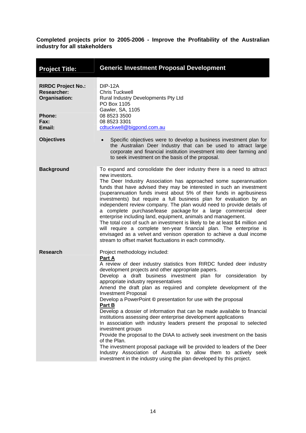<span id="page-18-0"></span>

| <b>Project Title:</b>                                                             | <b>Generic Investment Proposal Development</b>                                                                                                                                                                                                                                                                                                                                                                                                                                                                                                                                                                                                                                                                                                                                                                                                                                                                                                                                                                                  |
|-----------------------------------------------------------------------------------|---------------------------------------------------------------------------------------------------------------------------------------------------------------------------------------------------------------------------------------------------------------------------------------------------------------------------------------------------------------------------------------------------------------------------------------------------------------------------------------------------------------------------------------------------------------------------------------------------------------------------------------------------------------------------------------------------------------------------------------------------------------------------------------------------------------------------------------------------------------------------------------------------------------------------------------------------------------------------------------------------------------------------------|
| <b>RIRDC Project No.:</b><br><b>Researcher:</b><br>Organisation:<br><b>Phone:</b> | <b>DIP-12A</b><br><b>Chris Tuckwell</b><br>Rural Industry Developments Pty Ltd<br>PO Box 1105<br>Gawler, SA, 1105<br>08 8523 3500                                                                                                                                                                                                                                                                                                                                                                                                                                                                                                                                                                                                                                                                                                                                                                                                                                                                                               |
| Fax:<br>Email:                                                                    | 08 8523 3301<br>cdtuckwell@bigpond.com.au                                                                                                                                                                                                                                                                                                                                                                                                                                                                                                                                                                                                                                                                                                                                                                                                                                                                                                                                                                                       |
| <b>Objectives</b>                                                                 | Specific objectives were to develop a business investment plan for<br>the Australian Deer Industry that can be used to attract large<br>corporate and financial institution investment into deer farming and<br>to seek investment on the basis of the proposal.                                                                                                                                                                                                                                                                                                                                                                                                                                                                                                                                                                                                                                                                                                                                                                |
| <b>Background</b>                                                                 | To expand and consolidate the deer industry there is a need to attract<br>new investors.<br>The Deer Industry Association has approached some superannuation<br>funds that have advised they may be interested in such an investment<br>(superannuation funds invest about 5% of their funds in agribusiness<br>investments) but require a full business plan for evaluation by an<br>independent review company. The plan would need to provide details of<br>a complete purchase/lease package for a large commercial deer<br>enterprise including land, equipment, animals and management.<br>The total cost of such an investment is likely to be at least \$4 million and<br>will require a complete ten-year financial plan. The enterprise is<br>envisaged as a velvet and venison operation to achieve a dual income<br>stream to offset market fluctuations in each commodity.                                                                                                                                         |
| <b>Research</b>                                                                   | Project methodology included:<br>Part A<br>A review of deer industry statistics from RIRDC funded deer industry<br>development projects and other appropriate papers.<br>Develop a draft business investment plan for consideration<br>by<br>appropriate industry representatives<br>Amend the draft plan as required and complete development of the<br><b>Investment Proposal</b><br>Develop a PowerPoint © presentation for use with the proposal<br>Part B<br>Develop a dossier of information that can be made available to financial<br>institutions assessing deer enterprise development applications<br>In association with industry leaders present the proposal to selected<br>investment groups<br>Provide the proposal to the DIAA to actively seek investment on the basis<br>of the Plan.<br>The investment proposal package will be provided to leaders of the Deer<br>Industry Association of Australia to allow them to actively seek<br>investment in the industry using the plan developed by this project. |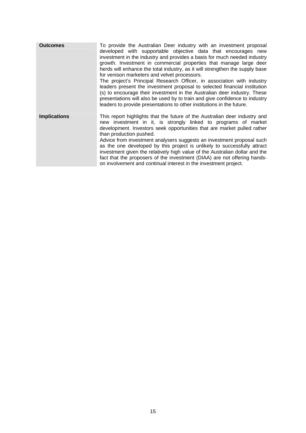| <b>Outcomes</b>     | To provide the Australian Deer industry with an investment proposal<br>developed with supportable objective data that encourages new<br>investment in the industry and provides a basis for much needed industry<br>growth. Investment in commercial properties that manage large deer<br>herds will enhance the total industry, as it will strengthen the supply base<br>for venison marketers and velvet processors.<br>The project's Principal Research Officer, in association with industry<br>leaders present the investment proposal to selected financial institution<br>(s) to encourage their investment in the Australian deer industry. These<br>presentations will also be used by to train and give confidence to industry<br>leaders to provide presentations to other institutions in the future. |
|---------------------|-------------------------------------------------------------------------------------------------------------------------------------------------------------------------------------------------------------------------------------------------------------------------------------------------------------------------------------------------------------------------------------------------------------------------------------------------------------------------------------------------------------------------------------------------------------------------------------------------------------------------------------------------------------------------------------------------------------------------------------------------------------------------------------------------------------------|
| <b>Implications</b> | This report highlights that the future of the Australian deer industry and<br>new investment in it, is strongly linked to programs of market<br>development. Investors seek opportunities that are market pulled rather<br>than production pushed.<br>Advice from investment analysers suggests an investment proposal such<br>as the one developed by this project is unlikely to successfully attract<br>investment given the relatively high value of the Australian dollar and the<br>fact that the proposers of the investment (DIAA) are not offering hands-<br>on involvement and continual interest in the investment project.                                                                                                                                                                            |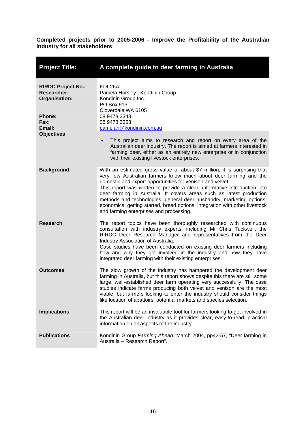<span id="page-20-0"></span>

| <b>Project Title:</b>                                            | A complete guide to deer farming in Australia                                                                                                                                                                                                                                                                                                                                                                                                                                                                                                                     |
|------------------------------------------------------------------|-------------------------------------------------------------------------------------------------------------------------------------------------------------------------------------------------------------------------------------------------------------------------------------------------------------------------------------------------------------------------------------------------------------------------------------------------------------------------------------------------------------------------------------------------------------------|
| <b>RIRDC Project No.:</b><br><b>Researcher:</b><br>Organisation: | KDI-26A<br>Pamela Horsley- Kondinin Group<br>Kondinin Group Inc.<br>PO Box 913<br>Cloverdale WA 6105                                                                                                                                                                                                                                                                                                                                                                                                                                                              |
| <b>Phone:</b><br><b>Fax:</b><br>Email:<br><b>Objectives</b>      | 08 9478 3343<br>08 9478 3353<br>pamelah@kondinin.com.au                                                                                                                                                                                                                                                                                                                                                                                                                                                                                                           |
|                                                                  | This project aims to research and report on every area of the<br>Australian deer industry. The report is aimed at farmers interested in<br>farming deer, either as an entirely new enterprise or in conjunction<br>with their existing livestock enterprises.                                                                                                                                                                                                                                                                                                     |
| <b>Background</b>                                                | With an estimated gross value of about \$7 million, it is surprising that<br>very few Australian farmers know much about deer farming and the<br>domestic and export opportunities for venison and velvet.<br>This report was written to provide a clear, informative introduction into<br>deer farming in Australia. It covers areas such as latest production<br>methods and technologies, general deer husbandry, marketing options,<br>economics, getting started, breed options, integration with other livestock<br>and farming enterprises and processing. |
| <b>Research</b>                                                  | The report topics have been thoroughly researched with continuous<br>consultation with industry experts, including Mr Chris Tuckwell, the<br>RIRDC Deer Research Manager and representatives from the Deer<br>Industry Association of Australia.<br>Case studies have been conducted on existing deer farmers including<br>how and why they got involved in the industry and how they have<br>integrated deer farming with their existing enterprises.                                                                                                            |
| <b>Outcomes</b>                                                  | The slow growth of the industry has hampered the development deer<br>farming in Australia, but this report shows despite this there are still some<br>large, well-established deer farm operating very successfully. The case<br>studies indicate farms producing both velvet and venison are the most<br>viable, but farmers looking to enter the industry should consider things<br>like location of abattoirs, potential markets and species selection.                                                                                                        |
| <b>Implications</b>                                              | This report will be an invaluable tool for farmers looking to get involved in<br>the Australian deer industry as it provides clear, easy-to-read, practical<br>information on all aspects of the industry.                                                                                                                                                                                                                                                                                                                                                        |
| <b>Publications</b>                                              | Kondinin Group Farming Ahead, March 2004, pp42-57, "Deer farming in<br>Australia - Research Report".                                                                                                                                                                                                                                                                                                                                                                                                                                                              |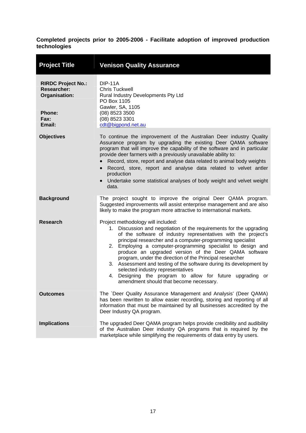<span id="page-21-0"></span>

| <b>Project Title</b>                                                                                | <b>Venison Quality Assurance</b>                                                                                                                                                                                                                                                                                                                                                                                                                                                                                                                                                                                                                      |
|-----------------------------------------------------------------------------------------------------|-------------------------------------------------------------------------------------------------------------------------------------------------------------------------------------------------------------------------------------------------------------------------------------------------------------------------------------------------------------------------------------------------------------------------------------------------------------------------------------------------------------------------------------------------------------------------------------------------------------------------------------------------------|
| <b>RIRDC Project No.:</b><br><b>Researcher:</b><br>Organisation:<br><b>Phone:</b><br>Fax:<br>Email: | <b>DIP-11A</b><br><b>Chris Tuckwell</b><br>Rural Industry Developments Pty Ltd<br>PO Box 1105<br>Gawler, SA, 1105<br>(08) 8523 3500<br>(08) 8523 3301<br>cdt@bigpond.net.au                                                                                                                                                                                                                                                                                                                                                                                                                                                                           |
| <b>Objectives</b>                                                                                   | To continue the improvement of the Australian Deer industry Quality<br>Assurance program by upgrading the existing Deer QAMA software<br>program that will improve the capability of the software and in particular<br>provide deer farmers with a previously unavailable ability to:<br>Record, store, report and analyse data related to animal body weights<br>Record, store, report and analyse data related to velvet antler<br>$\bullet$<br>production<br>Undertake some statistical analyses of body weight and velvet weight<br>$\bullet$<br>data.                                                                                            |
| <b>Background</b>                                                                                   | The project sought to improve the original Deer QAMA program.<br>Suggested improvements will assist enterprise management and are also<br>likely to make the program more attractive to international markets.                                                                                                                                                                                                                                                                                                                                                                                                                                        |
| <b>Research</b>                                                                                     | Project methodology will included:<br>1. Discussion and negotiation of the requirements for the upgrading<br>of the software of industry representatives with the project's<br>principal researcher and a computer-programming specialist<br>2. Employing a computer-programming specialist to design and<br>produce an upgraded version of the Deer QAMA software<br>program, under the direction of the Principal researcher<br>3. Assessment and testing of the software during its development by<br>selected industry representatives<br>4. Designing the program to allow for future upgrading<br>or<br>amendment should that become necessary. |
| <b>Outcomes</b>                                                                                     | The `Deer Quality Assurance Management and Analysis' (Deer QAMA)<br>has been rewritten to allow easier recording, storing and reporting of all<br>information that must be maintained by all businesses accredited by the<br>Deer Industry QA program.                                                                                                                                                                                                                                                                                                                                                                                                |
| <b>Implications</b>                                                                                 | The upgraded Deer QAMA program helps provide credibility and audibility<br>of the Australian Deer industry QA programs that is required by the<br>marketplace while simplifying the requirements of data entry by users.                                                                                                                                                                                                                                                                                                                                                                                                                              |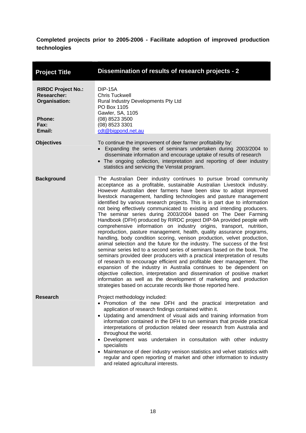<span id="page-22-0"></span>

| <b>Project Title</b>                                                                                              | Dissemination of results of research projects - 2                                                                                                                                                                                                                                                                                                                                                                                                                                                                                                                                                                                                                                                                                                                                                                                                                                                                                                                                                                                                                                                                                                                                                                                                                                                                                                                                                                                   |
|-------------------------------------------------------------------------------------------------------------------|-------------------------------------------------------------------------------------------------------------------------------------------------------------------------------------------------------------------------------------------------------------------------------------------------------------------------------------------------------------------------------------------------------------------------------------------------------------------------------------------------------------------------------------------------------------------------------------------------------------------------------------------------------------------------------------------------------------------------------------------------------------------------------------------------------------------------------------------------------------------------------------------------------------------------------------------------------------------------------------------------------------------------------------------------------------------------------------------------------------------------------------------------------------------------------------------------------------------------------------------------------------------------------------------------------------------------------------------------------------------------------------------------------------------------------------|
| <b>RIRDC Project No.:</b><br><b>Researcher:</b><br><b>Organisation:</b><br><b>Phone:</b><br><b>Fax:</b><br>Email: | <b>DIP-15A</b><br><b>Chris Tuckwell</b><br>Rural Industry Developments Pty Ltd<br>PO Box 1105<br>Gawler, SA, 1105<br>(08) 8523 3500<br>(08) 8523 3301<br>cdt@bigpond.net.au                                                                                                                                                                                                                                                                                                                                                                                                                                                                                                                                                                                                                                                                                                                                                                                                                                                                                                                                                                                                                                                                                                                                                                                                                                                         |
| <b>Objectives</b>                                                                                                 | To continue the improvement of deer farmer profitability by:<br>• Expanding the series of seminars undertaken during 2003/2004 to<br>disseminate information and encourage uptake of results of research<br>• The ongoing collection, interpretation and reporting of deer industry<br>statistics and servicing the Venstat program.                                                                                                                                                                                                                                                                                                                                                                                                                                                                                                                                                                                                                                                                                                                                                                                                                                                                                                                                                                                                                                                                                                |
| <b>Background</b>                                                                                                 | The Australian Deer industry continues to pursue broad community<br>acceptance as a profitable, sustainable Australian Livestock industry.<br>However Australian deer farmers have been slow to adopt improved<br>livestock management, handling technologies and pasture management<br>identified by various research projects. This is in part due to information<br>not being effectively communicated to existing and intending producers.<br>The seminar series during 2003/2004 based on The Deer Farming<br>Handbook (DFH) produced by RIRDC project DIP-9A provided people with<br>comprehensive information on industry origins, transport, nutrition,<br>reproduction, pasture management, health, quality assurance programs,<br>handling, body condition scoring, venison production, velvet production,<br>animal selection and the future for the industry. The success of the first<br>seminar series led to a second series of seminars based on the book. The<br>seminars provided deer producers with a practical interpretation of results<br>of research to encourage efficient and profitable deer management. The<br>expansion of the industry in Australia continues to be dependent on<br>objective collection, interpretation and dissemination of positive market<br>information as well as the development of marketing and production<br>strategies based on accurate records like those reported here. |
| <b>Research</b>                                                                                                   | Project methodology included:<br>• Promotion of the new DFH and the practical interpretation and<br>application of research findings contained within it.<br>• Updating and amendment of visual aids and training information from<br>information contained in the DFH to run seminars that provide practical<br>interpretations of production related deer research from Australia and<br>throughout the world.<br>Development was undertaken in consultation with other industry<br>specialists<br>• Maintenance of deer industry venison statistics and velvet statistics with<br>regular and open reporting of market and other information to industry<br>and related agricultural interests.                                                                                                                                                                                                                                                                                                                                                                                                                                                                                                                                                                                                                                                                                                                                  |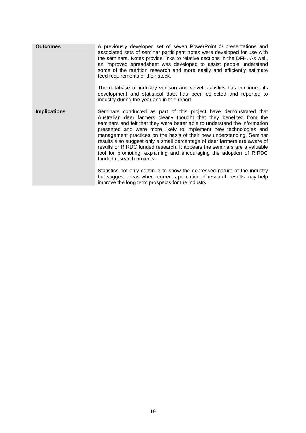| <b>Outcomes</b>     | A previously developed set of seven PowerPoint © presentations and<br>associated sets of seminar participant notes were developed for use with<br>the seminars. Notes provide links to relative sections in the DFH. As well,<br>an improved spreadsheet was developed to assist people understand<br>some of the nutrition research and more easily and efficiently estimate<br>feed requirements of their stock.<br>The database of industry venison and velvet statistics has continued its                                                                                                                                     |
|---------------------|------------------------------------------------------------------------------------------------------------------------------------------------------------------------------------------------------------------------------------------------------------------------------------------------------------------------------------------------------------------------------------------------------------------------------------------------------------------------------------------------------------------------------------------------------------------------------------------------------------------------------------|
|                     | development and statistical data has been collected and reported to<br>industry during the year and in this report                                                                                                                                                                                                                                                                                                                                                                                                                                                                                                                 |
| <b>Implications</b> | Seminars conducted as part of this project have demonstrated that<br>Australian deer farmers clearly thought that they benefited from the<br>seminars and felt that they were better able to understand the information<br>presented and were more likely to implement new technologies and<br>management practices on the basis of their new understanding. Seminar<br>results also suggest only a small percentage of deer farmers are aware of<br>results or RIRDC funded research. It appears the seminars are a valuable<br>tool for promoting, explaining and encouraging the adoption of RIRDC<br>funded research projects. |
|                     | Statistics not only continue to show the depressed nature of the industry<br>but suggest areas where correct application of research results may help<br>improve the long term prospects for the industry.                                                                                                                                                                                                                                                                                                                                                                                                                         |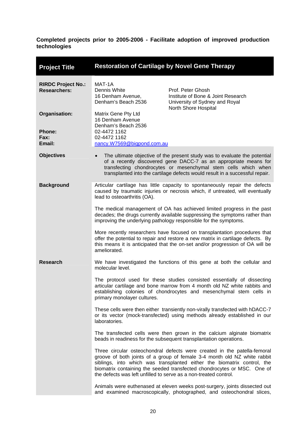<span id="page-24-0"></span>

| <b>Project Title</b>                             | <b>Restoration of Cartilage by Novel Gene Therapy</b>                                                                                                                                                                     |                                                                                                                                                                                                                                                                                                            |
|--------------------------------------------------|---------------------------------------------------------------------------------------------------------------------------------------------------------------------------------------------------------------------------|------------------------------------------------------------------------------------------------------------------------------------------------------------------------------------------------------------------------------------------------------------------------------------------------------------|
| <b>RIRDC Project No.:</b><br><b>Researchers:</b> | MAT-1A<br>Dennis White<br>16 Denham Avenue,<br>Denham's Beach 2536                                                                                                                                                        | Prof. Peter Ghosh<br>Institute of Bone & Joint Research<br>University of Sydney and Royal<br>North Shore Hospital                                                                                                                                                                                          |
| Organisation:<br><b>Phone:</b><br>Fax:           | Matrix Gene Pty Ltd<br>16 Denham Avenue<br>Denham's Beach 2536<br>02-4472 1162<br>02-4472 1162                                                                                                                            |                                                                                                                                                                                                                                                                                                            |
| Email:                                           | nancy.W7569@bigpond.com.au                                                                                                                                                                                                |                                                                                                                                                                                                                                                                                                            |
| <b>Objectives</b>                                |                                                                                                                                                                                                                           | The ultimate objective of the present study was to evaluate the potential<br>of a recently discovered gene DACC-7 as an appropriate means for<br>transfecting chondrocytes or mesenchymal stem cells which when<br>transplanted into the cartilage defects would result in a successful repair.            |
| <b>Background</b>                                | lead to osteoarthritis (OA).                                                                                                                                                                                              | Articular cartilage has little capacity to spontaneously repair the defects<br>caused by traumatic injuries or necrosis which, if untreated, will eventually                                                                                                                                               |
|                                                  | The medical management of OA has achieved limited progress in the past<br>decades; the drugs currently available suppressing the symptoms rather than<br>improving the underlying pathology responsible for the symptoms. |                                                                                                                                                                                                                                                                                                            |
|                                                  | ameliorated.                                                                                                                                                                                                              | More recently researchers have focused on transplantation procedures that<br>offer the potential to repair and restore a new matrix in cartilage defects. By<br>this means it is anticipated that the on-set and/or progression of OA will be                                                              |
| <b>Research</b>                                  | molecular level.                                                                                                                                                                                                          | We have investigated the functions of this gene at both the cellular and                                                                                                                                                                                                                                   |
|                                                  | primary monolayer cultures.                                                                                                                                                                                               | The protocol used for these studies consisted essentially of dissecting<br>articular cartilage and bone marrow from 4 month old NZ white rabbits and<br>establishing colonies of chondrocytes and mesenchymal stem cells in                                                                                |
|                                                  | laboratories.                                                                                                                                                                                                             | These cells were then either transiently non-virally transfected with hDACC-7<br>or its vector (mock-transfected) using methods already established in our                                                                                                                                                 |
|                                                  |                                                                                                                                                                                                                           | The transfected cells were then grown in the calcium alginate biomatrix<br>beads in readiness for the subsequent transplantation operations.                                                                                                                                                               |
|                                                  | the defects was left unfilled to serve as a non-treated control.                                                                                                                                                          | Three circular osteochondral defects were created in the patella-femoral<br>groove of both joints of a group of female 3-4 month old NZ white rabbit<br>siblings, into which was transplanted either the biomatrix control, the<br>biomatrix containing the seeded transfected chondrocytes or MSC. One of |
|                                                  |                                                                                                                                                                                                                           | Animals were euthenased at eleven weeks post-surgery, joints dissected out<br>and examined macroscopically, photographed, and osteochondral slices,                                                                                                                                                        |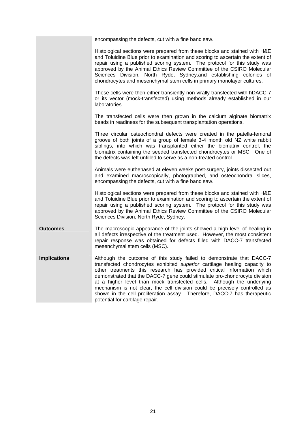|                     | encompassing the defects, cut with a fine band saw.                                                                                                                                                                                                                                                                                                                                                                                                                                                                                                                              |
|---------------------|----------------------------------------------------------------------------------------------------------------------------------------------------------------------------------------------------------------------------------------------------------------------------------------------------------------------------------------------------------------------------------------------------------------------------------------------------------------------------------------------------------------------------------------------------------------------------------|
|                     | Histological sections were prepared from these blocks and stained with H&E<br>and Toluidine Blue prior to examination and scoring to ascertain the extent of<br>repair using a published scoring system. The protocol for this study was<br>approved by the Animal Ethics Review Committee of the CSIRO Molecular<br>Sciences Division, North Ryde, Sydney.and establishing colonies of<br>chondrocytes and mesenchymal stem cells in primary monolayer cultures.                                                                                                                |
|                     | These cells were then either transiently non-virally transfected with hDACC-7<br>or its vector (mock-transfected) using methods already established in our<br>laboratories.                                                                                                                                                                                                                                                                                                                                                                                                      |
|                     | The transfected cells were then grown in the calcium alginate biomatrix<br>beads in readiness for the subsequent transplantation operations.                                                                                                                                                                                                                                                                                                                                                                                                                                     |
|                     | Three circular osteochondral defects were created in the patella-femoral<br>groove of both joints of a group of female 3-4 month old NZ white rabbit<br>siblings, into which was transplanted either the biomatrix control, the<br>biomatrix containing the seeded transfected chondrocytes or MSC. One of<br>the defects was left unfilled to serve as a non-treated control.                                                                                                                                                                                                   |
|                     | Animals were euthenased at eleven weeks post-surgery, joints dissected out<br>and examined macroscopically, photographed, and osteochondral slices,<br>encompassing the defects, cut with a fine band saw.                                                                                                                                                                                                                                                                                                                                                                       |
|                     | Histological sections were prepared from these blocks and stained with H&E<br>and Toluidine Blue prior to examination and scoring to ascertain the extent of<br>repair using a published scoring system. The protocol for this study was<br>approved by the Animal Ethics Review Committee of the CSIRO Molecular<br>Sciences Division, North Ryde, Sydney.                                                                                                                                                                                                                      |
| <b>Outcomes</b>     | The macroscopic appearance of the joints showed a high level of healing in<br>all defects irrespective of the treatment used. However, the most consistent<br>repair response was obtained for defects filled with DACC-7 transfected<br>mesenchymal stem cells (MSC).                                                                                                                                                                                                                                                                                                           |
| <b>Implications</b> | Although the outcome of this study failed to demonstrate that DACC-7<br>transfected chondrocytes exhibited superior cartilage healing capacity to<br>other treatments this research has provided critical information which<br>demonstrated that the DACC-7 gene could stimulate pro-chondrocyte division<br>at a higher level than mock transfected cells. Although the underlying<br>mechanism is not clear, the cell division could be precisely controlled as<br>shown in the cell proliferation assay. Therefore, DACC-7 has therapeutic<br>potential for cartilage repair. |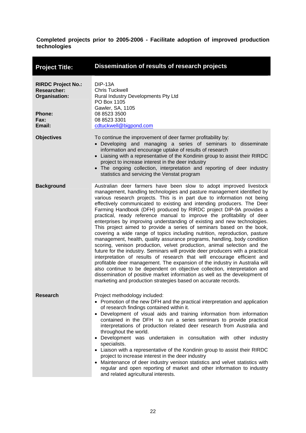<span id="page-26-0"></span>

| <b>Project Title:</b>                                                                        | Dissemination of results of research projects                                                                                                                                                                                                                                                                                                                                                                                                                                                                                                                                                                                                                                                                                                                                                                                                                                                                                                                                                                                                                                                                                                                                                                                                                                                                         |
|----------------------------------------------------------------------------------------------|-----------------------------------------------------------------------------------------------------------------------------------------------------------------------------------------------------------------------------------------------------------------------------------------------------------------------------------------------------------------------------------------------------------------------------------------------------------------------------------------------------------------------------------------------------------------------------------------------------------------------------------------------------------------------------------------------------------------------------------------------------------------------------------------------------------------------------------------------------------------------------------------------------------------------------------------------------------------------------------------------------------------------------------------------------------------------------------------------------------------------------------------------------------------------------------------------------------------------------------------------------------------------------------------------------------------------|
| <b>RIRDC Project No.:</b><br><b>Researcher:</b><br>Organisation:<br>Phone:<br>Fax:<br>Email: | DIP-13A<br><b>Chris Tuckwell</b><br>Rural Industry Developments Pty Ltd<br>PO Box 1105<br>Gawler, SA, 1105<br>08 8523 3500<br>08 8523 3301<br>cdtuckwell@bigpond.com                                                                                                                                                                                                                                                                                                                                                                                                                                                                                                                                                                                                                                                                                                                                                                                                                                                                                                                                                                                                                                                                                                                                                  |
| <b>Objectives</b>                                                                            | To continue the improvement of deer farmer profitability by:<br>• Developing and managing a series of seminars to disseminate<br>information and encourage uptake of results of research<br>• Liaising with a representative of the Kondinin group to assist their RIRDC<br>project to increase interest in the deer industry<br>• The ongoing collection, interpretation and reporting of deer industry<br>statistics and servicing the Venstat program                                                                                                                                                                                                                                                                                                                                                                                                                                                                                                                                                                                                                                                                                                                                                                                                                                                              |
| <b>Background</b>                                                                            | Australian deer farmers have been slow to adopt improved livestock<br>management, handling technologies and pasture management identified by<br>various research projects. This is in part due to information not being<br>effectively communicated to existing and intending producers. The Deer<br>Farming Handbook (DFH) produced by RIRDC project DIP-9A provides a<br>practical, ready reference manual to improve the profitability of deer<br>enterprises by improving understanding of existing and new technologies.<br>This project aimed to provide a series of seminars based on the book,<br>covering a wide range of topics including nutrition, reproduction, pasture<br>management, health, quality assurance programs, handling, body condition<br>scoring, venison production, velvet production, animal selection and the<br>future for the industry. Seminars will provide deer producers with a practical<br>interpretation of results of research that will encourage efficient and<br>profitable deer management. The expansion of the industry in Australia will<br>also continue to be dependent on objective collection, interpretation and<br>dissemination of positive market information as well as the development of<br>marketing and production strategies based on accurate records. |
| Research                                                                                     | Project methodology included:<br>• Promotion of the new DFH and the practical interpretation and application<br>of research findings contained within it.<br>• Development of visual aids and training information from information<br>contained in the DFH to run a series seminars to provide practical<br>interpretations of production related deer research from Australia and<br>throughout the world.<br>• Development was undertaken in consultation with other industry<br>specialists.<br>• Liaison with a representative of the Kondinin group to assist their RIRDC<br>project to increase interest in the deer industry<br>• Maintenance of deer industry venison statistics and velvet statistics with<br>regular and open reporting of market and other information to industry<br>and related agricultural interests.                                                                                                                                                                                                                                                                                                                                                                                                                                                                                 |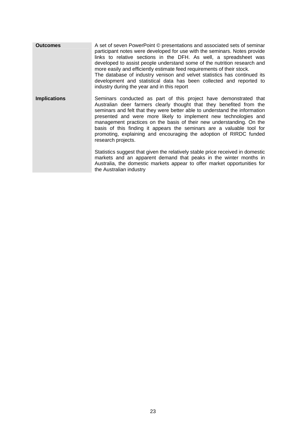**Outcomes** A set of seven PowerPoint © presentations and associated sets of seminar participant notes were developed for use with the seminars. Notes provide links to relative sections in the DFH. As well, a spreadsheet was developed to assist people understand some of the nutrition research and more easily and efficiently estimate feed requirements of their stock. The database of industry venison and velvet statistics has continued its development and statistical data has been collected and reported to industry during the year and in this report **Implications** Seminars conducted as part of this project have demonstrated that Australian deer farmers clearly thought that they benefited from the seminars and felt that they were better able to understand the information presented and were more likely to implement new technologies and management practices on the basis of their new understanding. On the basis of this finding it appears the seminars are a valuable tool for promoting, explaining and encouraging the adoption of RIRDC funded research projects. Statistics suggest that given the relatively stable price received in domestic markets and an apparent demand that peaks in the winter months in Australia, the domestic markets appear to offer market opportunities for the Australian industry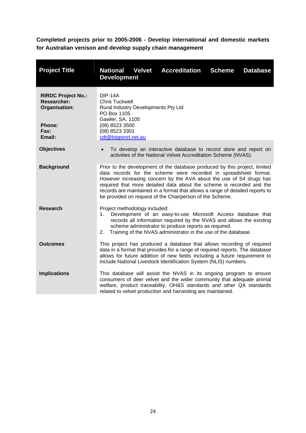<span id="page-28-0"></span>**Completed projects prior to 2005-2006 - Develop international and domestic markets for Australian venison and develop supply chain management** 

| <b>Project Title</b>                                                                                | <b>National Velvet</b><br><b>Accreditation</b><br><b>Development</b>                                                                                                                                                                                                                                                                                                                                                                        | <b>Scheme</b> | <b>Database</b> |
|-----------------------------------------------------------------------------------------------------|---------------------------------------------------------------------------------------------------------------------------------------------------------------------------------------------------------------------------------------------------------------------------------------------------------------------------------------------------------------------------------------------------------------------------------------------|---------------|-----------------|
| <b>RIRDC Project No.:</b><br><b>Researcher:</b><br>Organisation:<br><b>Phone:</b><br>Fax:<br>Email: | <b>DIP-14A</b><br><b>Chris Tuckwell</b><br>Rural Industry Developments Pty Ltd<br>PO Box 1105<br>Gawler, SA, 1105<br>(08) 8523 3500<br>(08) 8523 3301<br>cdt@bigpond.net.au                                                                                                                                                                                                                                                                 |               |                 |
| <b>Objectives</b>                                                                                   | To develop an interactive database to record store and report on<br>activities of the National Velvet Accreditation Scheme (NVAS).                                                                                                                                                                                                                                                                                                          |               |                 |
| <b>Background</b>                                                                                   | Prior to the development of the database produced by this project, limited<br>data records for the scheme were recorded in spreadsheet format.<br>However increasing concern by the AVA about the use of S4 drugs has<br>required that more detailed data about the scheme is recorded and the<br>records are maintained in a format that allows a range of detailed reports to<br>be provided on request of the Chairperson of the Scheme. |               |                 |
| <b>Research</b>                                                                                     | Project methodology included:<br>Development of an easy-to-use Microsoft Access database that<br>1.<br>records all information required by the NVAS and allows the existing<br>scheme administrator to produce reports as required.<br>Training of the NVAS administrator in the use of the database.<br>2.                                                                                                                                 |               |                 |
| <b>Outcomes</b>                                                                                     | This project has produced a database that allows recording of required<br>data in a format that provides for a range of required reports. The database<br>allows for future addition of new fields including a future requirement to<br>include National Livestock Identification System (NLIS) numbers.                                                                                                                                    |               |                 |
| <b>Implications</b>                                                                                 | This database will assist the NVAS in its ongoing program to ensure<br>consumers of deer velvet and the wider community that adequate animal<br>welfare, product traceability, OH&S standards and other QA standards<br>related to velvet production and harvesting are maintained.                                                                                                                                                         |               |                 |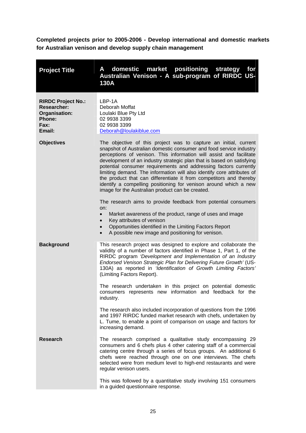<span id="page-29-0"></span>**Completed projects prior to 2005-2006 - Develop international and domestic markets for Australian venison and develop supply chain management** 

| <b>Project Title</b>                                                                                | domestic<br>market positioning<br>strategy<br>for<br>Α<br>Australian Venison - A sub-program of RIRDC US-<br>130A                                                                                                                                                                                                                                                                                                                                                                                                                                                                                                                                                                                                                                                                                                                                                                                                                                                        |
|-----------------------------------------------------------------------------------------------------|--------------------------------------------------------------------------------------------------------------------------------------------------------------------------------------------------------------------------------------------------------------------------------------------------------------------------------------------------------------------------------------------------------------------------------------------------------------------------------------------------------------------------------------------------------------------------------------------------------------------------------------------------------------------------------------------------------------------------------------------------------------------------------------------------------------------------------------------------------------------------------------------------------------------------------------------------------------------------|
| <b>RIRDC Project No.:</b><br><b>Researcher:</b><br>Organisation:<br><b>Phone:</b><br>Fax:<br>Email: | LBP-1A<br>Deborah Moffat<br>Loulaki Blue Pty Ltd<br>02 9938 3399<br>02 9938 3399<br>Deborah@loulakiblue.com                                                                                                                                                                                                                                                                                                                                                                                                                                                                                                                                                                                                                                                                                                                                                                                                                                                              |
| <b>Objectives</b>                                                                                   | The objective of this project was to capture an initial, current<br>snapshot of Australian domestic consumer and food service industry<br>perceptions of venison. This information will assist and facilitate<br>development of an industry strategic plan that is based on satisfying<br>potential consumer requirements and addressing factors currently<br>limiting demand. The information will also identify core attributes of<br>the product that can differentiate it from competitors and thereby<br>identify a compelling positioning for venison around which a new<br>image for the Australian product can be created.<br>The research aims to provide feedback from potential consumers<br>on:<br>Market awareness of the product, range of uses and image<br>$\bullet$<br>Key attributes of venison<br>$\bullet$<br>Opportunities identified in the Limiting Factors Report<br>$\bullet$<br>A possible new image and positioning for venison.<br>$\bullet$ |
| <b>Background</b>                                                                                   | This research project was designed to explore and collaborate the<br>validity of a number of factors identified in Phase 1, Part 1, of the<br>RIRDC program 'Development and Implementation of an Industry<br>Endorsed Venison Strategic Plan for Delivering Future Growth' (US-<br>130A) as reported in 'Identification of Growth Limiting Factors'<br>(Limiting Factors Report).<br>The research undertaken in this project on potential domestic<br>consumers represents new information and feedback for the<br>industry.<br>The research also included incorporation of questions from the 1996<br>and 1997 RIRDC funded market research with chefs, undertaken by                                                                                                                                                                                                                                                                                                  |
| <b>Research</b>                                                                                     | L. Tume, to enable a point of comparison on usage and factors for<br>increasing demand.<br>The research comprised a qualitative study encompassing 29<br>consumers and 6 chefs plus 4 other catering staff of a commercial                                                                                                                                                                                                                                                                                                                                                                                                                                                                                                                                                                                                                                                                                                                                               |
|                                                                                                     | catering centre through a series of focus groups. An additional 6<br>chefs were reached through one on one interviews. The chefs<br>selected were from medium level to high-end restaurants and were<br>regular venison users.<br>This was followed by a quantitative study involving 151 consumers                                                                                                                                                                                                                                                                                                                                                                                                                                                                                                                                                                                                                                                                      |
|                                                                                                     | in a guided questionnaire response.                                                                                                                                                                                                                                                                                                                                                                                                                                                                                                                                                                                                                                                                                                                                                                                                                                                                                                                                      |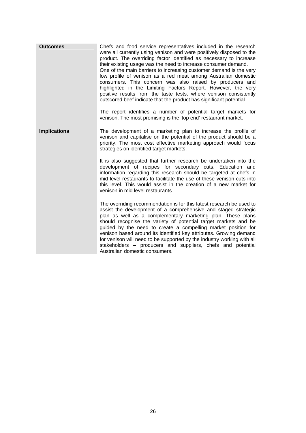| <b>Outcomes</b>     | Chefs and food service representatives included in the research<br>were all currently using venison and were positively disposed to the<br>product. The overriding factor identified as necessary to increase<br>their existing usage was the need to increase consumer demand.<br>One of the main barriers to increasing customer demand is the very<br>low profile of venison as a red meat among Australian domestic<br>consumers. This concern was also raised by producers and<br>highlighted in the Limiting Factors Report. However, the very<br>positive results from the taste tests, where venison consistently<br>outscored beef indicate that the product has significant potential.<br>The report identifies a number of potential target markets for<br>venison. The most promising is the 'top end' restaurant market. |
|---------------------|---------------------------------------------------------------------------------------------------------------------------------------------------------------------------------------------------------------------------------------------------------------------------------------------------------------------------------------------------------------------------------------------------------------------------------------------------------------------------------------------------------------------------------------------------------------------------------------------------------------------------------------------------------------------------------------------------------------------------------------------------------------------------------------------------------------------------------------|
| <b>Implications</b> | The development of a marketing plan to increase the profile of<br>venison and capitalise on the potential of the product should be a<br>priority. The most cost effective marketing approach would focus<br>strategies on identified target markets.<br>It is also suggested that further research be undertaken into the<br>development of recipes for secondary cuts. Education and<br>information regarding this research should be targeted at chefs in<br>mid level restaurants to facilitate the use of these venison cuts into                                                                                                                                                                                                                                                                                                 |
|                     | this level. This would assist in the creation of a new market for<br>venison in mid level restaurants.<br>The overriding recommendation is for this latest research be used to<br>assist the development of a comprehensive and staged strategic<br>plan as well as a complementary marketing plan. These plans<br>should recognise the variety of potential target markets and be<br>guided by the need to create a compelling market position for<br>venison based around its identified key attributes. Growing demand<br>for venison will need to be supported by the industry working with all<br>stakeholders - producers and suppliers, chefs and potential<br>Australian domestic consumers.                                                                                                                                  |